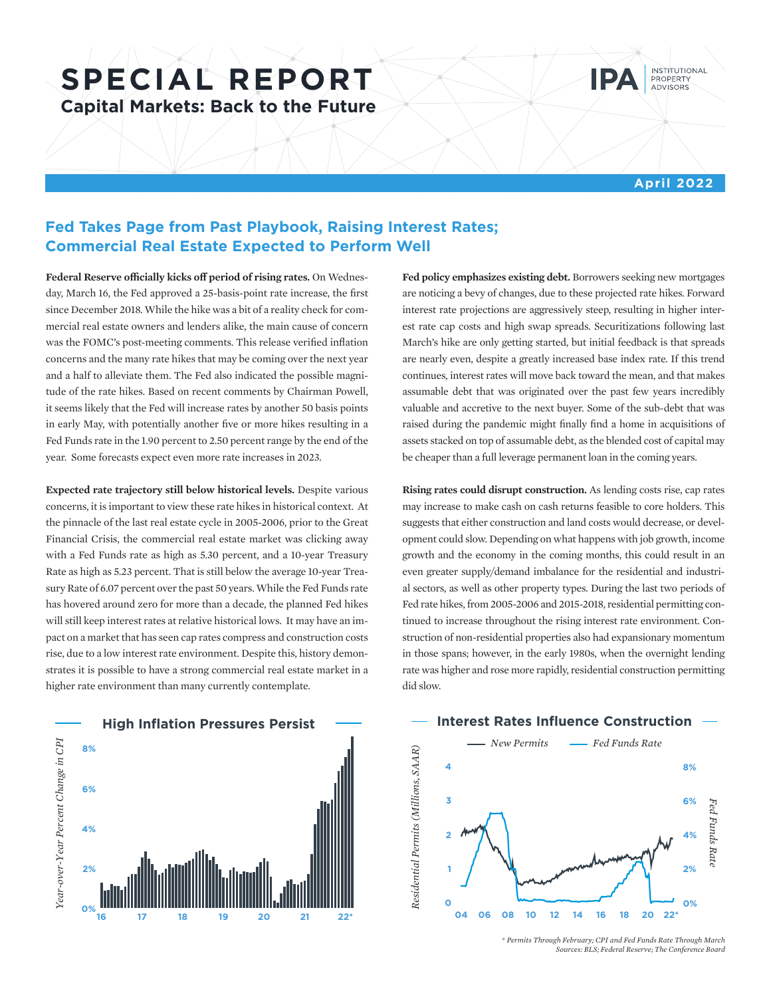# **SPECIAL REPORT Capital Markets: Back to the Future**



**April 2022**

## **Fed Takes Page from Past Playbook, Raising Interest Rates; Commercial Real Estate Expected to Perform Well**

**Federal Reserve officially kicks off period of rising rates.** On Wednes-**4 8%** day, March 16, the Fed approved a 25-basis-point rate increase, the first since December 2018. While the hike was a bit of a reality check for com-**3 6%** mercial real estate owners and lenders alike, the main cause of concern was the FOMC's post-meeting comments. This release verified inflation **2 4%** concerns and the many rate hikes that may be coming over the next year and a half to alleviate them. The Fed also indicated the possible magni-**1 2%** tude of the rate hikes. Based on recent comments by Chairman Powell, it seems likely that the Fed will increase rates by another 50 basis points in early May, with potentially another five or more hikes resulting in a **04 06 08 10 12 14 16 18 20 22\*** Fed Funds rate in the 1.90 percent to 2.50 percent range by the end of the year. Some forecasts expect even more rate increases in 2023. *Fed Funds Rate Residential Permits (Millions, SAAR)*

**Expected rate trajectory still below historical levels.** Despite various concerns, it is important to view these rate hikes in historical context. At the pinnacle of the last real estate cycle in 2005-2006, prior to the Great Financial Crisis, the commercial real estate market was clicking away with a Fed Funds rate as high as 5.30 percent, and a 10-year Treasury Rate as high as 5.23 percent. That is still below the average 10-year Treasury Rate of 6.07 percent over the past 50 years. While the Fed Funds rate has hovered around zero for more than a decade, the planned Fed hikes will still keep interest rates at relative historical lows. It may have an impact on a market that has seen cap rates compress and construction costs rise, due to a low interest rate environment. Despite this, history demonstrates it is possible to have a strong commercial real estate market in a higher rate environment than many currently contemplate.



**Fed policy emphasizes existing debt.** Borrowers seeking new mortgages are noticing a bevy of changes, due to these projected rate hikes. Forward interest rate projections are aggressively steep, resulting in higher interest rate cap costs and high swap spreads. Securitizations following last March's hike are only getting started, but initial feedback is that spreads are nearly even, despite a greatly increased base index rate. If this trend continues, interest rates will move back toward the mean, and that makes assumable debt that was originated over the past few years incredibly valuable and accretive to the next buyer. Some of the sub-debt that was raised during the pandemic might finally find a home in acquisitions of assets stacked on top of assumable debt, as the blended cost of capital may be cheaper than a full leverage permanent loan in the coming years.

**Rising rates could disrupt construction.** As lending costs rise, cap rates may increase to make cash on cash returns feasible to core holders. This suggests that either construction and land costs would decrease, or development could slow. Depending on what happens with job growth, income growth and the economy in the coming months, this could result in an even greater supply/demand imbalance for the residential and industrial sectors, as well as other property types. During the last two periods of Fed rate hikes, from 2005-2006 and 2015-2018, residential permitting continued to increase throughout the rising interest rate environment. Construction of non-residential properties also had expansionary momentum in those spans; however, in the early 1980s, when the overnight lending rate was higher and rose more rapidly, residential construction permitting did slow.



*<sup>\*</sup> Permits Through February; CPI and Fed Funds Rate Through March Sources: BLS; Federal Reserve; The Conference Board*